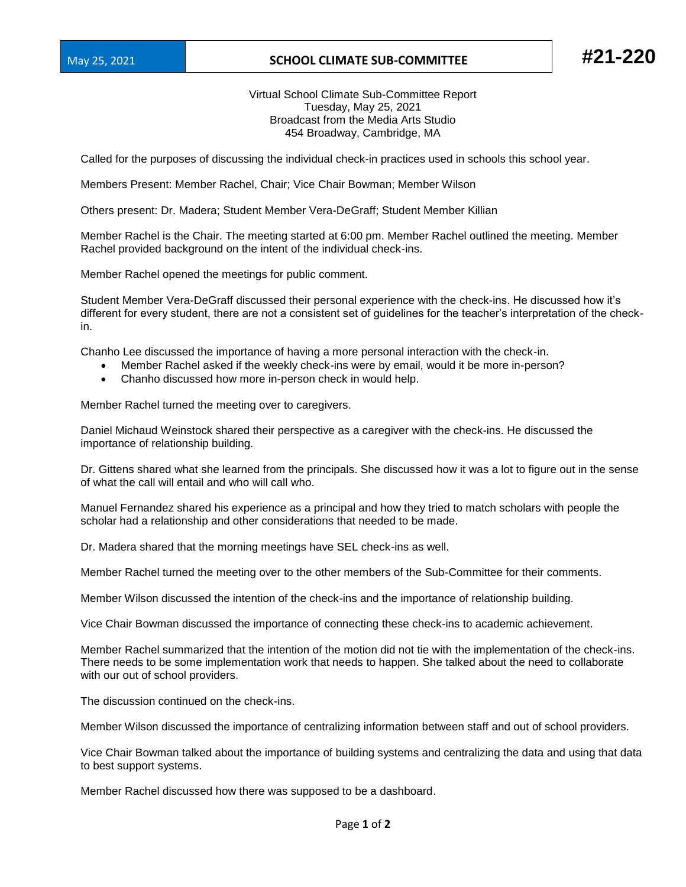## May 25, 2021 **SCHOOL CLIMATE SUB-COMMITTEE #21-220**

Virtual School Climate Sub-Committee Report Tuesday, May 25, 2021 Broadcast from the Media Arts Studio 454 Broadway, Cambridge, MA

Called for the purposes of discussing the individual check-in practices used in schools this school year.

Members Present: Member Rachel, Chair; Vice Chair Bowman; Member Wilson

Others present: Dr. Madera; Student Member Vera-DeGraff; Student Member Killian

Member Rachel is the Chair. The meeting started at 6:00 pm. Member Rachel outlined the meeting. Member Rachel provided background on the intent of the individual check-ins.

Member Rachel opened the meetings for public comment.

Student Member Vera-DeGraff discussed their personal experience with the check-ins. He discussed how it's different for every student, there are not a consistent set of guidelines for the teacher's interpretation of the checkin.

Chanho Lee discussed the importance of having a more personal interaction with the check-in.

- Member Rachel asked if the weekly check-ins were by email, would it be more in-person?
- Chanho discussed how more in-person check in would help.

Member Rachel turned the meeting over to caregivers.

Daniel Michaud Weinstock shared their perspective as a caregiver with the check-ins. He discussed the importance of relationship building.

Dr. Gittens shared what she learned from the principals. She discussed how it was a lot to figure out in the sense of what the call will entail and who will call who.

Manuel Fernandez shared his experience as a principal and how they tried to match scholars with people the scholar had a relationship and other considerations that needed to be made.

Dr. Madera shared that the morning meetings have SEL check-ins as well.

Member Rachel turned the meeting over to the other members of the Sub-Committee for their comments.

Member Wilson discussed the intention of the check-ins and the importance of relationship building.

Vice Chair Bowman discussed the importance of connecting these check-ins to academic achievement.

Member Rachel summarized that the intention of the motion did not tie with the implementation of the check-ins. There needs to be some implementation work that needs to happen. She talked about the need to collaborate with our out of school providers.

The discussion continued on the check-ins.

Member Wilson discussed the importance of centralizing information between staff and out of school providers.

Vice Chair Bowman talked about the importance of building systems and centralizing the data and using that data to best support systems.

Member Rachel discussed how there was supposed to be a dashboard.